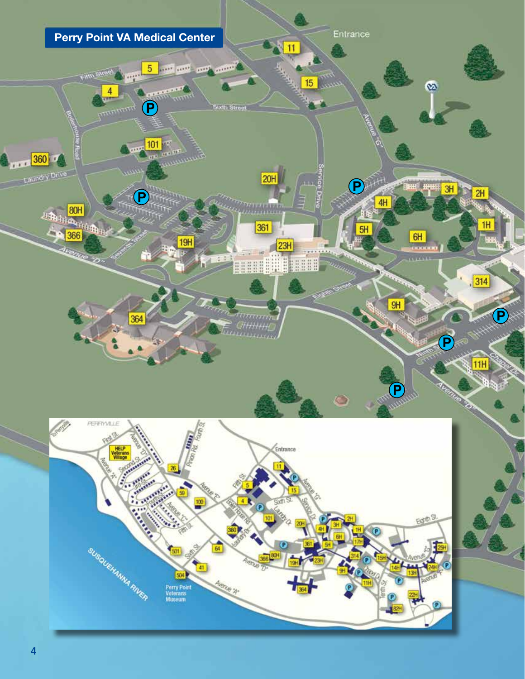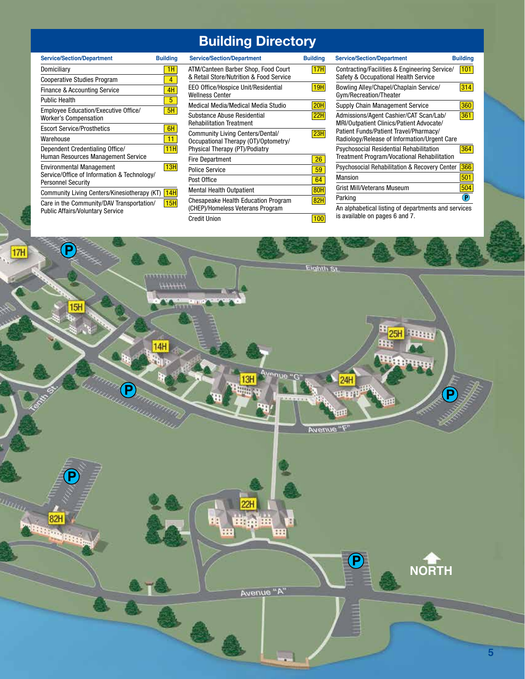## **Building Directory**

| <b>Service/Section/Department</b>                                                                           | <b>Building</b> |
|-------------------------------------------------------------------------------------------------------------|-----------------|
| Domiciliary                                                                                                 | 1H              |
| <b>Cooperative Studies Program</b>                                                                          | 4               |
| <b>Finance &amp; Accounting Service</b>                                                                     | 4H              |
| <b>Public Health</b>                                                                                        | 5               |
| Employee Education/Executive Office/<br><b>Worker's Compensation</b>                                        | 5H              |
| <b>Escort Service/Prosthetics</b>                                                                           | 6H              |
| Warehouse                                                                                                   | 11              |
| Dependent Credentialing Office/<br>Human Resources Management Service                                       | 11H             |
| <b>Environmental Management</b><br>Service/Office of Information & Technology/<br><b>Personnel Security</b> | 13H             |
| Community Living Centers/Kinesiotherapy (KT)                                                                | 14H             |
| Care in the Community/DAV Transportation/<br><b>Public Affairs/Voluntary Service</b>                        | 15H             |

| <b>Service/Section/Department</b>                                                                          | <b>Building</b> |
|------------------------------------------------------------------------------------------------------------|-----------------|
| ATM/Canteen Barber Shop, Food Court<br>& Retail Store/Nutrition & Food Service                             | 17H             |
| EEO Office/Hospice Unit/Residential<br><b>Wellness Center</b>                                              | 19H             |
| Medical Media/Medical Media Studio                                                                         | <b>20H</b>      |
| Substance Abuse Residential<br><b>Rehabilitation Treatment</b>                                             | 22H             |
| Community Living Centers/Dental/<br>Occupational Therapy (OT)/Optometry/<br>Physical Therapy (PT)/Podiatry | 23H             |
| <b>Fire Department</b>                                                                                     | 26              |
| <b>Police Service</b>                                                                                      | 59              |
| Post Office                                                                                                | 64              |
| <b>Mental Health Outpatient</b>                                                                            | 80H             |
| <b>Chesapeake Health Education Program</b><br>(CHEP)/Homeless Veterans Program                             | 82H             |
| <b>Credit Union</b>                                                                                        | 100             |

| <b>Service/Section/Department</b>                                             | <b>Building</b> | <b>Service/Section/Department</b>                                               | <b>Building</b> | <b>Service/Section/Department</b>                                                  | <b>Building</b>            |
|-------------------------------------------------------------------------------|-----------------|---------------------------------------------------------------------------------|-----------------|------------------------------------------------------------------------------------|----------------------------|
| Domiciliary                                                                   | 1H              | ATM/Canteen Barber Shop, Food Court                                             | 17H             | Contracting/Facilities & Engineering Service/                                      | 101                        |
| <b>Cooperative Studies Program</b>                                            | 4               | & Retail Store/Nutrition & Food Service                                         |                 | Safety & Occupational Health Service                                               |                            |
| <b>Finance &amp; Accounting Service</b>                                       | 4H              | EEO Office/Hospice Unit/Residential<br><b>Wellness Center</b>                   | 19H             | Bowling Alley/Chapel/Chaplain Service/<br>Gym/Recreation/Theater                   | 314                        |
| Public Health                                                                 | 5               | Medical Media/Medical Media Studio                                              | 20H             | Supply Chain Management Service                                                    | 360                        |
| Employee Education/Executive Office/<br>Worker's Compensation                 | 5H              | Substance Abuse Residential<br><b>Rehabilitation Treatment</b>                  | <b>22H</b>      | Admissions/Agent Cashier/CAT Scan/Lab/<br>MRI/Outpatient Clinics/Patient Advocate/ | 361                        |
| <b>Escort Service/Prosthetics</b>                                             | 6H              |                                                                                 |                 | Patient Funds/Patient Travel/Pharmacy/                                             |                            |
| Warehouse                                                                     | 11              | <b>Community Living Centers/Dental/</b><br>Occupational Therapy (OT)/Optometry/ | 23H             | Radiology/Release of Information/Urgent Care                                       |                            |
| Dependent Credentialing Office/                                               | 11H             | Physical Therapy (PT)/Podiatry                                                  |                 | Psychosocial Residential Rehabilitation                                            | 364                        |
| Human Resources Management Service                                            |                 | <b>Fire Department</b>                                                          | 26              | <b>Treatment Program/Vocational Rehabilitation</b>                                 |                            |
| Environmental Management                                                      | 13H             | <b>Police Service</b>                                                           | 59              | Psychosocial Rehabilitation & Recovery Center                                      | 366                        |
| Service/Office of Information & Technology/<br>Personnel Security             |                 | Post Office                                                                     | 64              | <b>Mansion</b>                                                                     | 501                        |
| Community Living Centers/Kinesiotherapy (KT) [                                | 14H             | <b>Mental Health Outpatient</b>                                                 | 80H             | <b>Grist Mill/Veterans Museum</b>                                                  | 504                        |
|                                                                               |                 | <b>Chesapeake Health Education Program</b>                                      | <b>82H</b>      | Parking                                                                            | $\left( \mathbf{P}\right)$ |
| Care in the Community/DAV Transportation/<br>Public Affaire/Voluntary Service | 15H             | (CHEP)/Homeless Veterans Program                                                |                 | An alphabetical listing of departments and services                                |                            |

is available on pages 6 and 7.

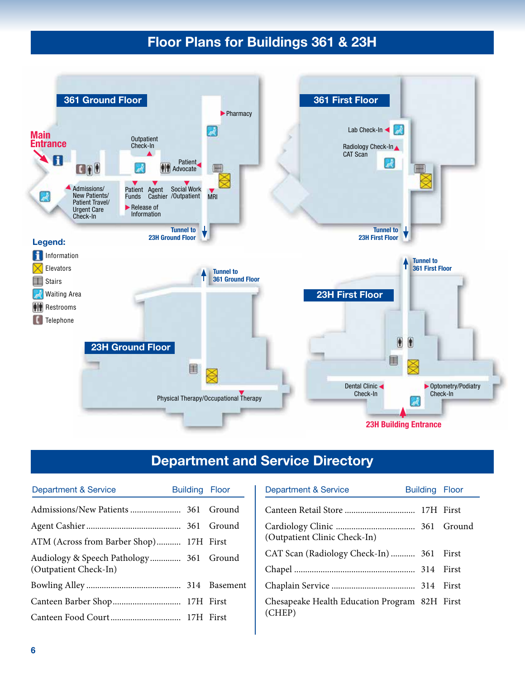## **Floor Plans for Buildings 361 & 23H**



## **Department and Service Directory**

| Department & Service                    | Building Floor | Department & Service                          | <b>Building Floor</b> |  |
|-----------------------------------------|----------------|-----------------------------------------------|-----------------------|--|
|                                         |                |                                               |                       |  |
|                                         |                |                                               |                       |  |
| ATM (Across from Barber Shop) 17H First |                | (Outpatient Clinic Check-In)                  |                       |  |
| Audiology & Speech Pathology 361 Ground |                | CAT Scan (Radiology Check-In)  361 First      |                       |  |
| (Outpatient Check-In)                   |                |                                               |                       |  |
|                                         |                |                                               |                       |  |
|                                         |                | Chesapeake Health Education Program 82H First |                       |  |
|                                         |                | (CHEP)                                        |                       |  |

| <b>Department &amp; Service</b>                         | <b>Building Floor</b> |       |  |
|---------------------------------------------------------|-----------------------|-------|--|
|                                                         |                       |       |  |
| (Outpatient Clinic Check-In)                            |                       |       |  |
| CAT Scan (Radiology Check-In)  361 First                |                       |       |  |
|                                                         |                       | First |  |
|                                                         |                       | First |  |
| Chesapeake Health Education Program 82H First<br>(CHEP) |                       |       |  |